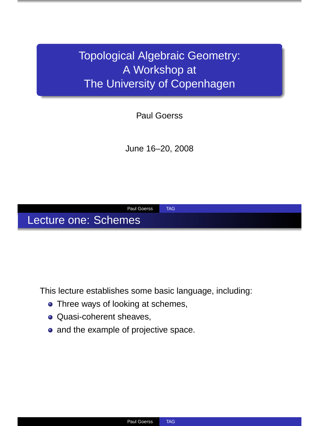Topological Algebraic Geometry: A Workshop at The University of Copenhagen

Paul Goerss

June 16–20, 2008



This lecture establishes some basic language, including:

- Three ways of looking at schemes,
- **Quasi-coherent sheaves,**
- and the example of projective space.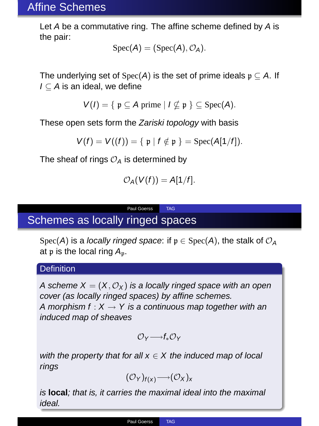## Affine Schemes

Let <sup>A</sup> be a commutative ring. The affine scheme defined by <sup>A</sup> is the pair:

$$
\mathrm{Spec}(A)=(\mathrm{Spec}(A),\mathcal{O}_A).
$$

The underlying set of Spec(A) is the set of prime ideals  $p \subset A$ . If  $I \subseteq A$  is an ideal, we define

$$
V(I) = \{ \mathfrak{p} \subseteq A \text{ prime} \mid I \nsubseteq \mathfrak{p} \} \subseteq \text{Spec}(A).
$$

These open sets form the Zariski topology with basis

$$
V(f) = V((f)) = \{ \mathfrak{p} \mid f \notin \mathfrak{p} \} = \text{Spec}(A[1/f]).
$$

The sheaf of rings  $\mathcal{O}_A$  is determined by

$$
\mathcal{O}_A(V(f))=A[1/f].
$$

Paul Goerss TAG

# Schemes as locally ringed spaces

Spec(A) is a locally ringed space: if  $p \in Spec(A)$ , the stalk of  $\mathcal{O}_A$ at  $p$  is the local ring  $A_p$ .

#### **Definition**

A scheme  $X = (X, \mathcal{O}_X)$  is a locally ringed space with an open cover (as locally ringed spaces) by affine schemes. A morphism  $f: X \rightarrow Y$  is a continuous map together with an induced map of sheaves

 $\mathcal{O}_{\vee}\longrightarrow f_{*}\mathcal{O}_{\vee}$ 

with the property that for all  $x \in X$  the induced map of local rings

 $(\mathcal{O}_Y)_{f(x)} \rightarrow (\mathcal{O}_X)_x$ 

is **local**; that is, it carries the maximal ideal into the maximal ideal.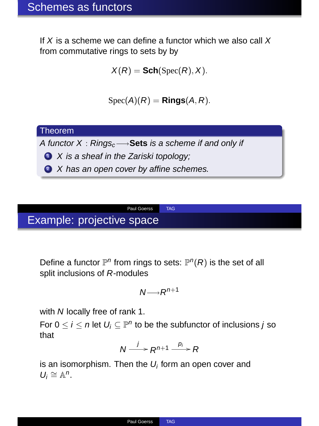If  $X$  is a scheme we can define a functor which we also call  $X$ from commutative rings to sets by by

$$
X(R) = \text{Sch}(\operatorname{Spec}(R), X).
$$

$$
\operatorname{Spec}(A)(R) = \text{Rings}(A, R).
$$

## Theorem

A functor X : Rings<sub>c</sub>→Sets is a scheme if and only if

- $\bullet$  X is a sheaf in the Zariski topology;
- 2 X has an open cover by affine schemes.

# Example: projective space

Define a functor  $\mathbb{P}^n$  from rings to sets:  $\mathbb{P}^n(R)$  is the set of all split inclusions of <sup>R</sup>-modules

Paul Goerss TAG

$$
N{\longrightarrow} R^{n+1}
$$

with N locally free of rank 1.

For  $0 \le i \le n$  let  $U_i \subseteq \mathbb{P}^n$  to be the subfunctor of inclusions j so that

$$
N \xrightarrow{j} R^{n+1} \xrightarrow{p_i} R
$$

is an isomorphism. Then the  $U_i$  form an open cover and  $U_i \cong \mathbb{A}^n$ .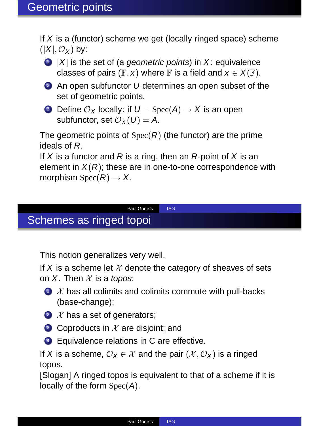If  $X$  is a (functor) scheme we get (locally ringed space) scheme  $(|X|, \mathcal{O}_X)$  by:



 $\bigcirc$  |X| is the set of (a *geometric points*) in X: equivalence classes of pairs ( $F, x$ ) where F is a field and  $x \in X(F)$ .

 $\bullet$  An open subfunctor U determines an open subset of the set of geometric points.

**3** Define  $\mathcal{O}_X$  locally: if  $U = \text{Spec}(A) \rightarrow X$  is an open subfunctor, set  $\mathcal{O}_X(U) = A$ .

The geometric points of  $Spec(R)$  (the functor) are the prime ideals of <sup>R</sup>.

If X is a functor and R is a ring, then an R-point of X is an element in  $X(R)$ ; these are in one-to-one correspondence with morphism  $Spec(R) \rightarrow X$ .

#### Paul Goerss TAG

## Schemes as ringed topoi

This notion generalizes very well.

If X is a scheme let  $X$  denote the category of sheaves of sets on  $X$ . Then  $X$  is a topos:

- $\bullet$   $\mathcal X$  has all colimits and colimits commute with pull-backs (base-change);
- $\bullet$   $\mathcal X$  has a set of generators;
- $\bullet$  Coproducts in  $\mathcal X$  are disioint: and
- <sup>4</sup> Equivalence relations in C are effective.

If X is a scheme,  $\mathcal{O}_X \in \mathcal{X}$  and the pair  $(\mathcal{X}, \mathcal{O}_X)$  is a ringed topos.

[Slogan] A ringed topos is equivalent to that of a scheme if it is locally of the form Spec(A).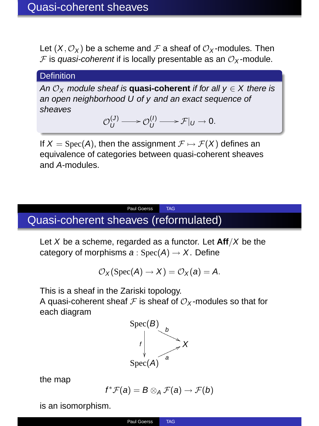Let  $(X, \mathcal{O}_X)$  be a scheme and F a sheaf of  $\mathcal{O}_X$ -modules. Then  $F$  is quasi-coherent if is locally presentable as an  $O_V$ -module.

#### **Definition**

An  $\mathcal{O}_X$  module sheaf is **quasi-coherent** if for all  $y \in X$  there is an open neighborhood U of y and an exact sequence of sheaves

$$
\mathcal{O}_U^{(J)} \longrightarrow \mathcal{O}_U^{(I)} \longrightarrow \mathcal{F}|_U \rightarrow 0.
$$

If  $X = \text{Spec}(A)$ , then the assignment  $\mathcal{F} \mapsto \mathcal{F}(X)$  defines an equivalence of categories between quasi-coherent sheaves and A-modules.

# Quasi-coherent sheaves (reformulated)

Let <sup>X</sup> be a scheme, regarded as a functor. Let **Aff**/<sup>X</sup> be the category of morphisms  $a : Spec(A) \rightarrow X$ . Define

Paul Goerss TAG

$$
\mathcal{O}_X(\mathrm{Spec}(A) \to X) = \mathcal{O}_X(a) = A.
$$

This is a sheaf in the Zariski topology.

A quasi-coherent sheaf  $\mathcal F$  is sheaf of  $\mathcal O_X$ -modules so that for each diagram



the map

$$
f^*\mathcal{F}(a) = B \otimes_A \mathcal{F}(a) \to \mathcal{F}(b)
$$

is an isomorphism.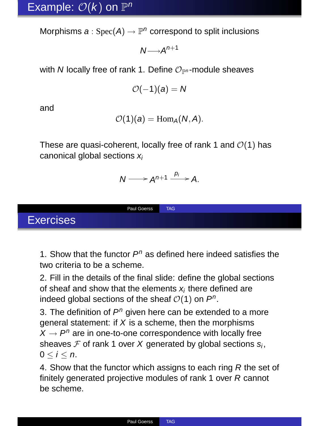Morphisms  $a: \text{Spec}(A) \to \mathbb{P}^n$  correspond to split inclusions

 $N \rightarrow A^{n+1}$ 

with N locally free of rank 1. Define  $\mathcal{O}_{\mathbb{P}^n}$ -module sheaves

$$
\mathcal{O}(-1)(a) = N
$$

and

$$
\mathcal{O}(1)(a) = \mathrm{Hom}_A(N, A).
$$

These are quasi-coherent, locally free of rank 1 and  $\mathcal{O}(1)$  has canonical global sections  $x_i$ 

$$
N \longrightarrow A^{n+1} \xrightarrow{p_i} A.
$$

Paul Goerss TAG

Exercises

1. Show that the functor  $P^n$  as defined here indeed satisfies the two criteria to be a scheme.

2. Fill in the details of the final slide: define the global sections of sheaf and show that the elements  $x_i$  there defined are indeed global sections of the sheaf  $\mathcal{O}(1)$  on  $P^n$ .

3. The definition of  $P<sup>n</sup>$  given here can be extended to a more general statement: if  $X$  is a scheme, then the morphisms  $X \rightarrow P^n$  are in one-to-one correspondence with locally free sheaves  $F$  of rank 1 over X generated by global sections  $s_i$ ,  $0 < i < n$ .

4. Show that the functor which assigns to each ring R the set of finitely generated projective modules of rank 1 over R cannot be scheme.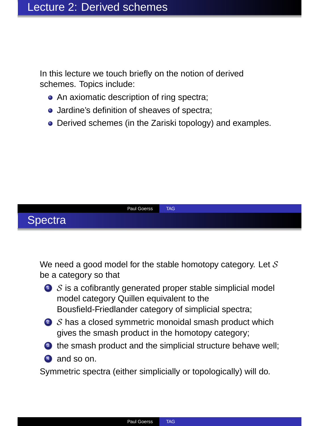In this lecture we touch briefly on the notion of derived schemes. Topics include:

- An axiomatic description of ring spectra;
- Jardine's definition of sheaves of spectra:
- **•** Derived schemes (in the Zariski topology) and examples.



We need a good model for the stable homotopy category. Let  $S$ be a category so that

- $\bullet$  S is a cofibrantly generated proper stable simplicial model model category Quillen equivalent to the Bousfield-Friedlander category of simplicial spectra;
- $\bullet$  S has a closed symmetric monoidal smash product which gives the smash product in the homotopy category;
- <sup>3</sup> the smash product and the simplicial structure behave well:
- 4 and so on.

Symmetric spectra (either simplicially or topologically) will do.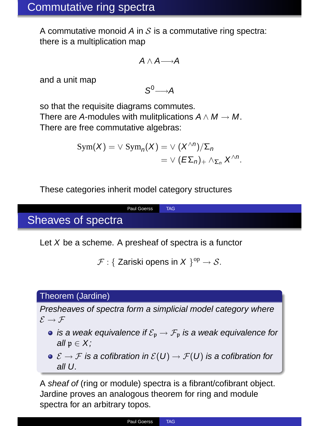A commutative monoid A in  $S$  is a commutative ring spectra: there is a multiplication map

$$
A\wedge A{\longrightarrow} A
$$

and a unit map

 $S^0 \rightarrow A$ 

so that the requisite diagrams commutes. There are A-modules with mulitplications  $A \wedge M \rightarrow M$ . There are free commutative algebras:

$$
Sym(X) = \vee Sym_n(X) = \vee (X^{\wedge n})/\Sigma_n
$$
  
=  $\vee (E\Sigma_n)_+ \wedge_{\Sigma_n} X^{\wedge n}$ .

These categories inherit model category structures

## Paul Goerss TAG Sheaves of spectra

Let  $X$  be a scheme. A presheaf of spectra is a functor

```
\mathcal{F}: \{ Zariski opens in X \}^{\text{op}} \to \mathcal{S}.
```
## Theorem (Jardine)

Presheaves of spectra form a simplicial model category where  $\mathcal{E} \rightarrow \mathcal{F}$ 

- is a weak equivalence if  $\mathcal{E}_p \to \mathcal{F}_p$  is a weak equivalence for all  $\mathfrak{p} \in X$ ;
- $\bullet \ \mathcal{E} \to \mathcal{F}$  is a cofibration in  $\mathcal{E}(U) \to \mathcal{F}(U)$  is a cofibration for all U.

<sup>A</sup> sheaf of (ring or module) spectra is a fibrant/cofibrant object. Jardine proves an analogous theorem for ring and module spectra for an arbitrary topos.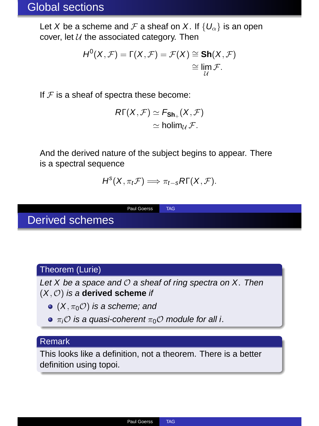## Global sections

Let X be a scheme and F a sheaf on X. If  $\{U_{\alpha}\}\$ is an open cover, let  $U$  the associated category. Then

$$
H^0(X, \mathcal{F}) = \Gamma(X, \mathcal{F}) = \mathcal{F}(X) \cong \text{Sh}(X, \mathcal{F}) \cong \lim_{\mathcal{U}} \mathcal{F}.
$$

If  $F$  is a sheaf of spectra these become:

$$
\begin{aligned} R\Gamma(X,\mathcal{F}) &\simeq F_{\text{Sh}_+}(X,\mathcal{F}) \\ &\simeq \text{holim}_{\mathcal{U}}\,\mathcal{F}. \end{aligned}
$$

And the derived nature of the subject begins to appear. There is a spectral sequence

$$
H^{s}(X,\pi_{t}\mathcal{F}) \Longrightarrow \pi_{t-s}R\Gamma(X,\mathcal{F}).
$$

Paul Goerss TAG

Derived schemes

## Theorem (Lurie)

Let  $X$  be a space and  $O$  a sheaf of ring spectra on  $X$ . Then

#### $(X, \mathcal{O})$  is a **derived scheme** if

- $\bullet$  (X,  $\pi_0$ O) is a scheme; and
- $\bullet \pi_i \mathcal{O}$  is a quasi-coherent  $\pi_0 \mathcal{O}$  module for all i.

## Remark

This looks like a definition, not a theorem. There is a better definition using topoi.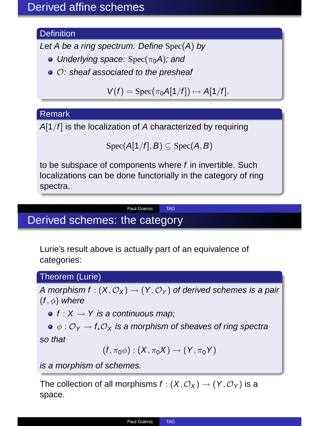## **Definition**

Let A be a ring spectrum. Define  $Spec(A)$  by

- Underlying space:  $Spec(\pi_0 A)$ ; and
- $\bullet$   $\circ$ : sheaf associated to the presheaf

$$
V(f) = \operatorname{Spec}(\pi_0 A[1/f]) \mapsto A[1/f].
$$

## Remark

 $A[1/f]$  is the localization of A characterized by requiring

$$
\text{Spec}(A[1/f],B)\subseteq \text{Spec}(A,B)
$$

to be subspace of components where <sup>f</sup> in invertible. Such localizations can be done functorially in the category of ring spectra.

Paul Goerss TAG

# Derived schemes: the category

Lurie's result above is actually part of an equivalence of categories:

## Theorem (Lurie)

A morphism f:  $(X, \mathcal{O}_X) \rightarrow (Y, \mathcal{O}_Y)$  of derived schemes is a pair  $(f, \phi)$  where

- $f: X \rightarrow Y$  is a continuous map;
- $\bullet \phi : \mathcal{O}_Y \to f_* \mathcal{O}_X$  is a morphism of sheaves of ring spectra

so that

$$
(f, \pi_0 \phi) : (X, \pi_0 X) \to (Y, \pi_0 Y)
$$

is a morphism of schemes.

The collection of all morphisms  $f : (X, \mathcal{O}_X) \to (Y, \mathcal{O}_Y)$  is a space.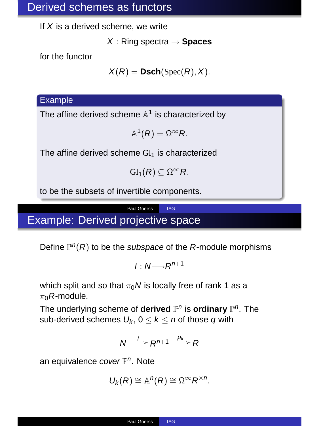## Derived schemes as functors

If  $X$  is a derived scheme, we write

<sup>X</sup> : Ring spectra <sup>→</sup> **Spaces**

for the functor

 $X(R) = \text{Dsch}(\text{Spec}(R), X)$ .

#### Example

The affine derived scheme  $\mathbb{A}^1$  is characterized by

$$
\mathbb{A}^1(R)=\Omega^{\infty}R.
$$

The affine derived scheme  $Gl<sub>1</sub>$  is characterized

$$
\mathrm{Gl}_1(R)\subseteq \Omega^{\infty}R.
$$

to be the subsets of invertible components.

## Paul Goerss TAG Example: Derived projective space

Define  $\mathbb{P}^n(R)$  to be the *subspace* of the *R*-module morphisms

$$
i:N\longrightarrow R^{n+1}
$$

which split and so that  $\pi_0 N$  is locally free of rank 1 as a  $\pi_0$ R-module.

The underlying scheme of **derived**  $\mathbb{P}^n$  is **ordinary**  $\mathbb{P}^n$ . The sub-derived schemes  $U_k$ ,  $0 \le k \le n$  of those q with

$$
N \xrightarrow{i} R^{n+1} \xrightarrow{p_k} R
$$

an equivalence *cover*  $\mathbb{P}^n$ . Note

$$
U_k(R) \cong \mathbb{A}^n(R) \cong \Omega^\infty R^{\times n}.
$$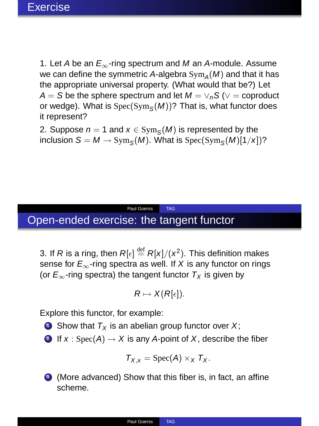1. Let A be an  $E_{\infty}$ -ring spectrum and M an A-module. Assume we can define the symmetric A-algebra  $\text{Sym}_A(M)$  and that it has the appropriate universal property. (What would that be?) Let A = S be the sphere spectrum and let  $M = \vee_n S$  ( $\vee$  = coproduct or wedge). What is  $\operatorname{Spec}(\operatorname{Sym}_\mathcal{S}(M))$ ? That is, what functor does it represent?

2. Suppose  $n = 1$  and  $x \in \text{Sym}_{\mathcal{S}}(M)$  is represented by the inclusion  $S = M \rightarrow \text{Sym}_{S}(M)$ . What is Spec $(\text{Sym}_{S}(M)[1/x])$ ?

# Open-ended exercise: the tangent functor

3. If R is a ring, then  $R[\epsilon] \stackrel{\text{def}}{=} R[x]/(x^2)$ . This definition makes sense for  $E_{\infty}$ -ring spectra as well. If X is any functor on rings (or  $E_{\infty}$ -ring spectra) the tangent functor  $T_{\rm X}$  is given by

Paul Goerss TAG

$$
R \mapsto X(R[\epsilon]).
$$

Explore this functor, for example:

- $\bullet$  Show that  $T_X$  is an abelian group functor over X;
- 2 If  $x : Spec(A) \rightarrow X$  is any A-point of X, describe the fiber

$$
T_{X,x} = \text{Spec}(A) \times_X T_X.
$$

<sup>3</sup> (More advanced) Show that this fiber is, in fact, an affine scheme.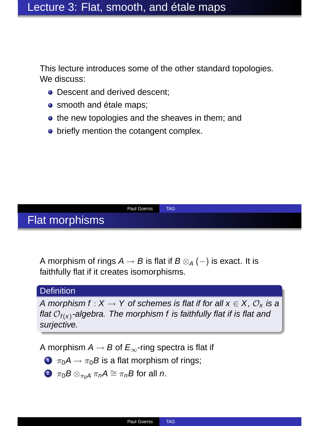This lecture introduces some of the other standard topologies. We discuss:

- Descent and derived descent:
- smooth and étale maps;
- the new topologies and the sheaves in them; and
- briefly mention the cotangent complex.

## Flat morphisms

Paul Goerss TAG

A morphism of rings  $A \rightarrow B$  is flat if  $B \otimes_A (-)$  is exact. It is faithfully flat if it creates isomorphisms.

## **Definition**

A morphism  $f: X \to Y$  of schemes is flat if for all  $x \in X$ ,  $\mathcal{O}_Y$  is a flat  $\mathcal{O}_{f(x)}$ -algebra. The morphism f is faithfully flat if is flat and surjective.

A morphism  $A \rightarrow B$  of  $E_{\infty}$ -ring spectra is flat if

- $\bullet$   $\pi_0A \rightarrow \pi_0B$  is a flat morphism of rings;
- $\bullet \ \pi_0 B \otimes_{\pi_0 A} \pi_n A \cong \pi_n B$  for all *n*.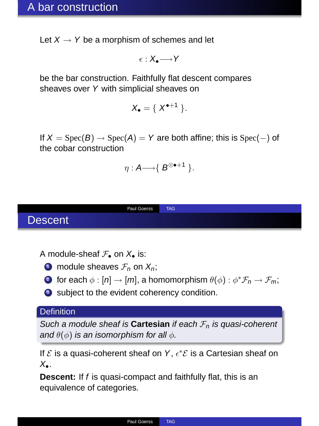Let  $X \rightarrow Y$  be a morphism of schemes and let

$$
\epsilon:X_\bullet{\longrightarrow\hspace*{-2.8ex}{\longmapsto}\hspace*{2.8ex}} Y
$$

be the bar construction. Faithfully flat descent compares sheaves over <sup>Y</sup> with simplicial sheaves on

$$
X_{\bullet} = \{ X^{\bullet+1} \}.
$$

If  $X = \text{Spec}(B) \rightarrow \text{Spec}(A) = Y$  are both affine; this is Spec(-) of the cobar construction

$$
\eta: A \longrightarrow \{ \ B^{\otimes \bullet +1} \ \}.
$$



A module-sheaf  $\mathcal{F}_\bullet$  on  $X_\bullet$  is:



- 2 for each  $\phi : [n] \to [m]$ , a homomorphism  $\theta(\phi) : \phi^* \mathcal{F}_n \to \mathcal{F}_m$ ;
- <sup>3</sup> subject to the evident coherency condition.

### **Definition**

Such a module sheaf is **Cartesian** if each  $\mathcal{F}_n$  is quasi-coherent and  $\theta(\phi)$  is an isomorphism for all  $\phi$ .

If  $\mathcal E$  is a quasi-coherent sheaf on Y,  $\epsilon^*\mathcal E$  is a Cartesian sheaf on  $X_{\bullet}$ .

**Descent:** If <sup>f</sup> is quasi-compact and faithfully flat, this is an equivalence of categories.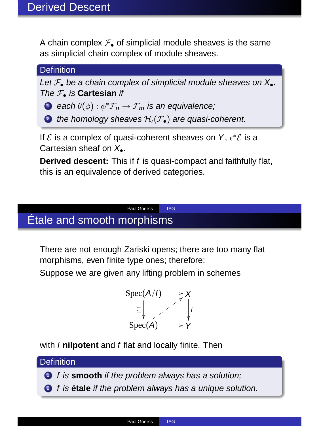A chain complex  $\mathcal{F}_\bullet$  of simplicial module sheaves is the same as simplicial chain complex of module sheaves.

## **Definition**

Let  $\mathcal{F}_\bullet$  be a chain complex of simplicial module sheaves on  $X_\bullet$ . The F• is **Cartesian** if

**D** each  $\theta(\phi): \phi^* \mathcal{F}_n \to \mathcal{F}_m$  is an equivalence;

**2** the homology sheaves  $\mathcal{H}_i(\mathcal{F}_\bullet)$  are quasi-coherent.

If  $\mathcal E$  is a complex of quasi-coherent sheaves on Y,  $\epsilon^*\mathcal E$  is a Cartesian sheaf on  $X_{\bullet}$ .

**Derived descent:** This if <sup>f</sup> is quasi-compact and faithfully flat, this is an equivalence of derived categories.

## Paul Goerss TAG Étale and smooth morphisms

There are not enough Zariski opens; there are too many flat morphisms, even finite type ones; therefore:

Suppose we are given any lifting problem in schemes

$$
\text{Spec}(A/I) \longrightarrow X
$$
  
\n
$$
\subseteq \bigcup_{Y \text{Spec}(A) \longrightarrow Y} X
$$

with *I* nilpotent and *f* flat and locally finite. Then

## **Definition**

<sup>1</sup> f is **smooth** if the problem always has a solution;

<sup>2</sup> f is **étale** if the problem always has a unique solution.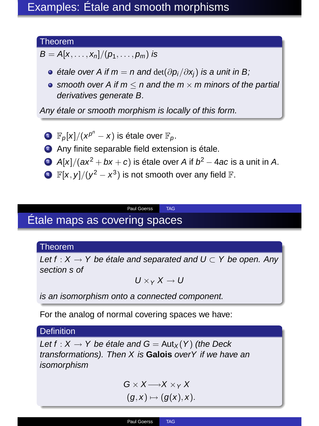## Theorem

 $B = A[x, ..., x_n]/(p_1, ..., p_m)$  is

- $\bullet$  étale over A if  $m = n$  and  $\det(\partial p_i/\partial x_i)$  is a unit in B;
- smooth over A if  $m \le n$  and the  $m \times m$  minors of the partial derivatives generate B.

Any étale or smooth morphism is locally of this form.

• 
$$
\mathbb{F}_p[x]/(x^{p^n} - x)
$$
 is étale over  $\mathbb{F}_p$ .

<sup>2</sup> Any finite separable field extension is étale.

- 3 A[x]/(ax<sup>2</sup> + bx + c) is étale over A if  $b^2 4ac$  is a unit in A.
- $\mathbb{F}[x, y]/(y^2 x^3)$  is not smooth over any field  $\mathbb{F}[x, y]/(y^2 x^3)$

Paul Goerss TAG

# Étale maps as covering spaces

### Theorem

Let  $f: X \to Y$  be étale and separated and  $U \subset Y$  be open. Any section s of

$$
U\times_Y X\to U
$$

is an isomorphism onto a connected component.

For the analog of normal covering spaces we have:

#### **Definition**

Let  $f : X \to Y$  be étale and  $G = Aut_X(Y)$  (the Deck transformations). Then X is **Galois** overY if we have an isomorphism

> $G \times X \longrightarrow X \times Y$  $(g, x) \mapsto (g(x), x).$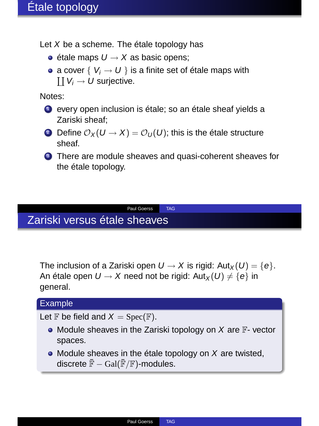Let <sup>X</sup> be a scheme. The étale topology has

- $\bullet$  étale maps  $U \rightarrow X$  as basic opens:
- a cover  $\{V_i \rightarrow U\}$  is a finite set of étale maps with  $\coprod V_i \to U$  surjective.

Notes:

- <sup>1</sup> every open inclusion is étale; so an étale sheaf yields a Zariski sheaf;
- 2 Define  $\mathcal{O}_X(U \to X) = \mathcal{O}_U(U)$ ; this is the étale structure sheaf.

Paul Goerss TAG

<sup>3</sup> There are module sheaves and quasi-coherent sheaves for the étale topology.

# Zariski versus étale sheaves

The inclusion of a Zariski open  $U \to X$  is rigid:  $Aut_X(U) = \{e\}.$ An étale open  $U \rightarrow X$  need not be rigid:  $Aut_X(U) \neq \{e\}$  in general.

## Example

Let  $\mathbb F$  be field and  $X = \text{Spec}(\mathbb F)$ .

- $\bullet$  Module sheaves in the Zariski topology on X are  $\mathbb F$  vector spaces.
- $\bullet$  Module sheaves in the étale topology on  $X$  are twisted, discrete  $\bar{\mathbb{F}}$  – Gal( $\bar{\mathbb{F}}$ / $\mathbb{F}$ )-modules.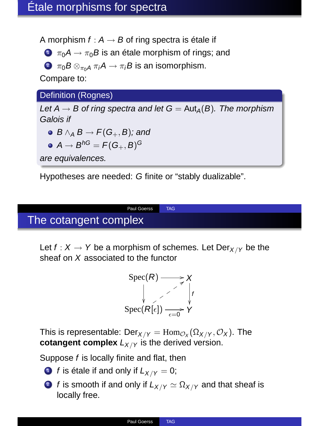A morphism  $f : A \rightarrow B$  of ring spectra is étale if

- $\bullet$   $\pi_0A \rightarrow \pi_0B$  is an étale morphism of rings; and
- **2**  $\pi_0 B \otimes_{\pi_0 A} \pi_i A \to \pi_i B$  is an isomorphism.

Compare to:

Definition (Rognes)

Let  $A \rightarrow B$  of ring spectra and let  $G = Aut_A(B)$ . The morphism Galois if

- $\bullet$  B  $\wedge_A$  B  $\rightarrow$  F(G<sub>+</sub>, B); and
- $A \rightarrow B^{hG} = F(G_{+}, B)^{G}$

are equivalences.

Hypotheses are needed: <sup>G</sup> finite or "stably dualizable".

# The cotangent complex

Let  $f: X \to Y$  be a morphism of schemes. Let Der<sub>X/Y</sub> be the sheaf on <sup>X</sup> associated to the functor

Paul Goerss TAG

$$
\text{Spec}(R) \longrightarrow X
$$
\n
$$
\downarrow \qquad \qquad \downarrow \qquad \qquad \downarrow
$$
\n
$$
\text{Spec}(R[\epsilon]) \longrightarrow X
$$
\n
$$
\downarrow \qquad \qquad \downarrow
$$
\n
$$
\downarrow \qquad \downarrow
$$

This is representable:  $\mathsf{Der}_{X/Y} = \mathrm{Hom}_{\mathcal{O}_X}(\Omega_{X/Y}, \mathcal{O}_X)$ . The **cotangent complex**  $L_{X/Y}$  is the derived version.

Suppose <sup>f</sup> is locally finite and flat, then

- **1** f is étale if and only if  $L_{X/Y} = 0$ ;
- **2** f is smooth if and only if  $L_{X/Y} \simeq \Omega_{X/Y}$  and that sheaf is locally free.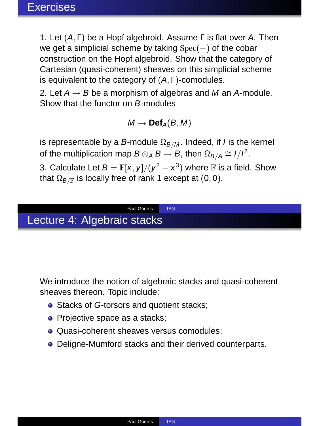1. Let (A, Γ) be a Hopf algebroid. Assume <sup>Γ</sup> is flat over <sup>A</sup>. Then we get a simplicial scheme by taking Spec(−) of the cobar construction on the Hopf algebroid. Show that the category of Cartesian (quasi-coherent) sheaves on this simplicial scheme is equivalent to the category of (A, Γ)-comodules.

2. Let  $A \rightarrow B$  be a morphism of algebras and M an A-module. Show that the functor on <sup>B</sup>-modules

 $M \rightarrow$  **Def**<sub>A</sub>( $B, M$ )

is representable by a B-module  $\Omega_{B/M}$ . Indeed, if I is the kernel of the multiplication map  $B \otimes_A B \to B$ , then  $\Omega_{B/A} \cong I/I^2$ .

3. Calculate Let  $B = \mathbb{F}[x, y]/(y^2 - x^3)$  where  $\mathbb F$  is a field. Show that  $\Omega_{B/F}$  is locally free of rank 1 except at (0,0).

Paul Goerss TAG

# Lecture 4: Algebraic stacks

We introduce the notion of algebraic stacks and quasi-coherent sheaves thereon. Topic include:

- Stacks of G-torsors and quotient stacks:
- Projective space as a stacks;
- **Quasi-coherent sheaves versus comodules:**
- Deligne-Mumford stacks and their derived counterparts.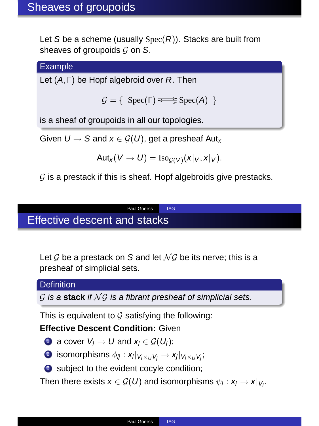Let S be a scheme (usually  $Spec(R)$ ). Stacks are built from sheaves of groupoids  $G$  on S.

**Example** 

Let  $(A, \Gamma)$  be Hopf algebroid over R. Then

 $G = \{ \text{Spec}(\Gamma) \leq \text{Spec}(A) \}$ 

is a sheaf of groupoids in all our topologies.

Given  $U \to S$  and  $x \in \mathcal{G}(U)$ , get a presheaf Aut<sub>x</sub>

$$
Aut_x(V \to U) = \mathrm{Iso}_{\mathcal{G}(V)}(x|_V, x|_V).
$$

 $G$  is a prestack if this is sheaf. Hopf algebroids give prestacks.

Paul Goerss TAG

# Effective descent and stacks

Let G be a prestack on S and let  $N$ G be its nerve; this is a presheaf of simplicial sets.

#### **Definition**

 $G$  is a stack if  $NG$  is a fibrant presheaf of simplicial sets.

This is equivalent to  $G$  satisfying the following:

## **Effective Descent Condition:** Given

- **1** a cover  $V_i \rightarrow U$  and  $x_i \in \mathcal{G}(U_i)$ ;
- $\textbf{2}$  isomorphisms  $\phi_{ij}: \textbf{x}_i|_{\textbf{V}_i \times_U \textbf{V}_j} \rightarrow \textbf{x}_j|_{\textbf{V}_i \times_U \textbf{V}_j},$
- <sup>3</sup> subject to the evident cocyle condition;

Then there exists  $\mathsf{x} \in \mathcal{G}(\mathit{U})$  and isomorphisms  $\psi_i : \mathsf{x}_i \rightarrow \mathsf{x}|_{\mathsf{V}_i}.$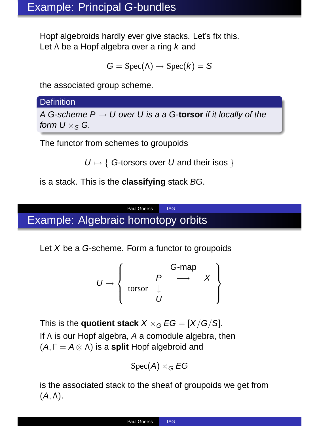Hopf algebroids hardly ever give stacks. Let's fix this. Let Λ be a Hopf algebra over a ring k and

$$
G=\mathrm{Spec}(\Lambda)\to\mathrm{Spec}(k)=S
$$

the associated group scheme.

**Definition** 

A G-scheme P <sup>→</sup> U over U is a a G-**torsor** if it locally of the form  $U \times_S G$ .

The functor from schemes to groupoids

 $U \mapsto \{ G\text{-torsors over } U \text{ and their isos } \}$ 

is a stack. This is the **classifying** stack BG.

## Paul Goerss TAG Example: Algebraic homotopy orbits

Let X be a G-scheme. Form a functor to groupoids

$$
U \mapsto \left\{ \begin{array}{ccc} & G\text{-map} \\ & P & \longrightarrow & X \\ \text{torsor} & \downarrow & & \\ & U & & \end{array} \right\}
$$

This is the **quotient stack**  $X \times_G EG = [X/G/S]$ . If <sup>Λ</sup> is our Hopf algebra, <sup>A</sup> a comodule algebra, then (A, Γ = <sup>A</sup> <sup>⊗</sup> Λ) is a **split** Hopf algebroid and

$$
\operatorname{Spec}(A)\times_G EG
$$

is the associated stack to the sheaf of groupoids we get from  $(A, \Lambda)$ .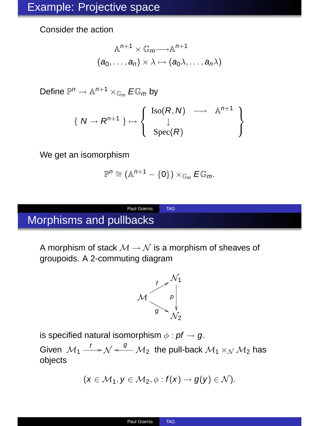Consider the action

$$
\mathbb{A}^{n+1} \times \mathbb{G}_m \longrightarrow \mathbb{A}^{n+1}
$$

$$
(a_0, \dots, a_n) \times \lambda \mapsto (a_0 \lambda, \dots, a_n \lambda)
$$

Define  $\mathbb{P}^n \to \mathbb{A}^{n+1} \times_{\mathbb{G}_m} E\mathbb{G}_m$  by

$$
\{ N \to R^{n+1} \} \mapsto \left\{ \begin{array}{rcl} \mathrm{Iso}(R, N) & \longrightarrow & \mathbb{A}^{n+1} \\ \downarrow & & \\ \mathrm{Spec}(R) & & \end{array} \right\}
$$

We get an isomorphism

$$
\mathbb{P}^n \cong (\mathbb{A}^{n+1} - \{0\}) \times_{\mathbb{G}_m} E \mathbb{G}_m.
$$

# Morphisms and pullbacks

A morphism of stack  $M \to N$  is a morphism of sheaves of groupoids. A 2-commuting diagram

Paul Goerss TAG



is specified natural isomorphism  $\phi$  : pf  $\rightarrow$  q.

Given  $\mathcal{M}_1 \stackrel{f}{\longrightarrow} \mathcal{N} \stackrel{g}{\longleftarrow} \mathcal{M}_2$  the pull-back  $\mathcal{M}_1 \times_{\mathcal{N}} \mathcal{M}_2$  has objects

$$
(\mathbf{x} \in \mathcal{M}_1, \mathbf{y} \in \mathcal{M}_2, \phi: f(\mathbf{x}) \to g(\mathbf{y}) \in \mathcal{N}).
$$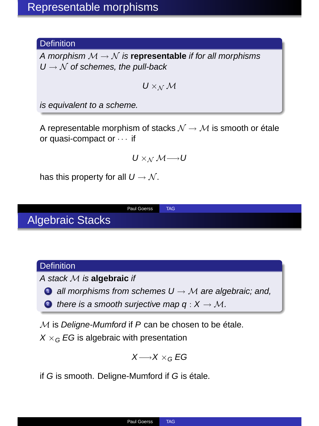### **Definition**

A morphism  $M \rightarrow N$  is **representable** if for all morphisms  $U \rightarrow \mathcal{N}$  of schemes, the pull-back

 $U \times_M M$ 

is equivalent to a scheme.

A representable morphism of stacks  $\mathcal{N} \rightarrow \mathcal{M}$  is smooth or étale or quasi-compact or · · · if

$$
U\times_{\mathcal{N}}\mathcal{M}{\longrightarrow} U
$$

Paul Goerss TAG

has this property for all  $U \rightarrow N$ .

Algebraic Stacks

### **Definition**

A stack <sup>M</sup> is **algebraic** if

- $\bullet$  all morphisms from schemes  $U \rightarrow M$  are algebraic; and,
- **2** there is a smooth suriective map  $q: X \to M$ .

 $M$  is Deligne-Mumford if  $P$  can be chosen to be étale.

 $X \times_C EG$  is algebraic with presentation

$$
X {\longrightarrow} X \times_G EG
$$

if <sup>G</sup> is smooth. Deligne-Mumford if <sup>G</sup> is étale.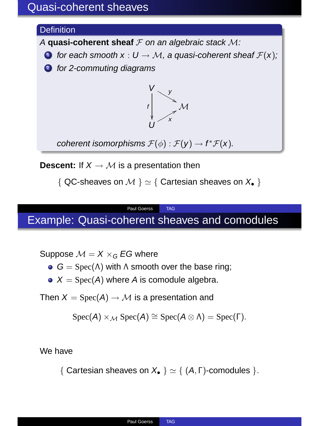## Quasi-coherent sheaves

## **Definition** A **quasi-coherent sheaf**  $F$  on an algebraic stack  $M$ : **O** for each smooth  $x : U \to M$ , a quasi-coherent sheaf  $\mathcal{F}(x)$ ; **2** for 2-commuting diagrams  $V_{\nu}$  $\searrow$ f ŗ  ${\cal M}$ U  $\chi$ <sup>r</sup>

coherent isomorphisms  $\mathcal{F}(\phi) : \mathcal{F}(\mathsf{y}) \to f^* \mathcal{F}(\mathsf{x})$ .

**Descent:** If  $X \to M$  is a presentation then

{ QC-sheaves on  $M$  }  $\simeq$  { Cartesian sheaves on  $X_{\bullet}$  }

## Paul Goerss TAG Example: Quasi-coherent sheaves and comodules

Suppose  $M = X \times_G EG$  where

- $G = Spec(\Lambda)$  with  $\Lambda$  smooth over the base ring;
- $\bullet X = \text{Spec}(A)$  where A is comodule algebra.

Then  $X = \text{Spec}(A) \rightarrow M$  is a presentation and

$$
Spec(A) \times_{\mathcal{M}} Spec(A) \cong Spec(A \otimes \Lambda) = Spec(\Gamma).
$$

We have

{ Cartesian sheaves on  $X_{\bullet}$  }  $\simeq$  { (A, Γ)-comodules }.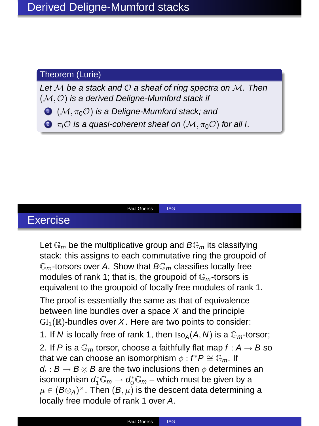### Theorem (Lurie)

Let  $M$  be a stack and  $O$  a sheaf of ring spectra on  $M$ . Then  $(\mathcal{M}, \mathcal{O})$  is a derived Deligne-Mumford stack if

 $\bigodot$  (M,  $\pi_0$ O) is a Deligne-Mumford stack; and

**2**  $\pi_i$ O is a quasi-coherent sheaf on  $(\mathcal{M}, \pi_0 \mathcal{O})$  for all i.

Paul Goerss TAG

# Exercise

Let  $\mathbb{G}_m$  be the multiplicative group and  $B\mathbb{G}_m$  its classifying stack: this assigns to each commutative ring the groupoid of  $\mathbb{G}_m$ -torsors over A. Show that  $B\mathbb{G}_m$  classifies locally free modules of rank 1; that is, the groupoid of  $\mathbb{G}_m$ -torsors is equivalent to the groupoid of locally free modules of rank 1.

The proof is essentially the same as that of equivalence between line bundles over a space  $X$  and the principle  $Gl_1(\mathbb{R})$ -bundles over X. Here are two points to consider:

1. If N is locally free of rank 1, then  $Iso_A(A, N)$  is a  $\mathbb{G}_m$ -torsor; 2. If P is a  $\mathbb{G}_m$  torsor, choose a faithfully flat map  $f : A \rightarrow B$  so that we can choose an isomorphism  $\phi : f^*P \cong \mathbb{G}_m$ . If  $d_i : B \to B \otimes B$  are the two inclusions then  $\phi$  determines an isomorphism  $d_1^* \mathbb{G}_m \to d_0^* \mathbb{G}_m$  – which must be given by a  $\mu \in (B \otimes_A)^{\times}$ . Then  $(B, \mu)$  is the descent data determining a locally free module of rank 1 over <sup>A</sup>.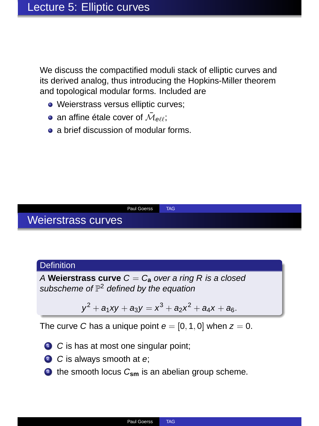We discuss the compactified moduli stack of elliptic curves and its derived analog, thus introducing the Hopkins-Miller theorem and topological modular forms. Included are

- Weierstrass versus elliptic curves;
- an affine étale cover of  $\bar{\mathcal{M}}_{\theta\ell\ell};$
- **a** a brief discussion of modular forms.

## Weierstrass curves

#### **Definition**

A **Weierstrass curve**  $C = C_a$  over a ring R is a closed subscheme of  $\mathbb{P}^2$  defined by the equation

Paul Goerss TAG

$$
y^2 + a_1xy + a_3y = x^3 + a_2x^2 + a_4x + a_6.
$$

The curve C has a unique point  $e = [0, 1, 0]$  when  $z = 0$ .

- **1** C is has at most one singular point;
- **2** C is always smooth at e;
- <sup>3</sup> the smooth locus C<sub>sm</sub> is an abelian group scheme.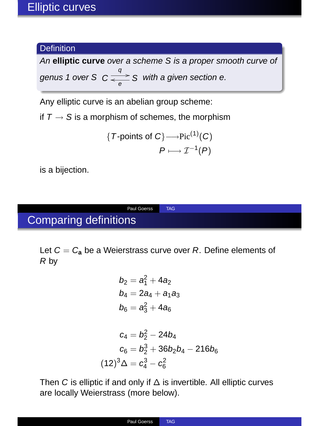## **Definition**

An **elliptic curve** over a scheme S is a proper smooth curve of genus 1 over S  $C \frac{q}{\epsilon}$  S with a given section e.

Any elliptic curve is an abelian group scheme:

if  $T \rightarrow S$  is a morphism of schemes, the morphism

{*T*-points of 
$$
C
$$
} $\longrightarrow$ Pic<sup>(1)</sup>(*C*)  
 $P \longmapsto \mathcal{I}^{-1}(P)$ 

is a bijection.

# Comparing definitions

 $($ 

Let  $C = C_a$  be a Weierstrass curve over R. Define elements of R by

Paul Goerss TAG

$$
b_2 = a_1^2 + 4a_2
$$
  
\n
$$
b_4 = 2a_4 + a_1a_3
$$
  
\n
$$
b_6 = a_3^2 + 4a_6
$$

$$
c_4 = b_2^2 - 24b_4
$$
  

$$
c_6 = b_2^3 + 36b_2b_4 - 216b_6
$$
  

$$
12)^3\Delta = c_4^3 - c_6^2
$$

Then <sup>C</sup> is elliptic if and only if <sup>∆</sup> is invertible. All elliptic curves are locally Weierstrass (more below).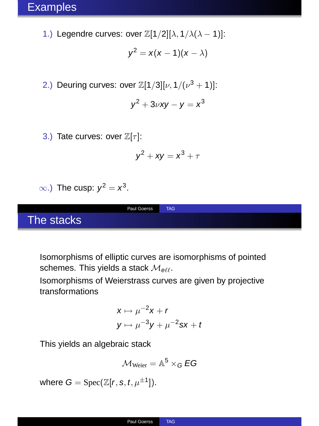1.) Legendre curves: over  $\mathbb{Z}[1/2][\lambda, 1/\lambda(\lambda-1)]$ :

$$
y^2 = x(x-1)(x-\lambda)
$$

2.) Deuring curves: over  $\mathbb{Z}[1/3][\nu,1/(\nu^3+1)]$ :

$$
y^2+3\nu xy-y=x^3
$$

3.) Tate curves: over  $\mathbb{Z}[\tau]$ :

$$
y^2 + xy = x^3 + \tau
$$

 $\infty$ .) The cusp:  $y^2 = x^3$ .

The stacks

Isomorphisms of elliptic curves are isomorphisms of pointed schemes. This yields a stack  $\mathcal{M}_{\theta \ell \ell}$ .

Paul Goerss TAG

Isomorphisms of Weierstrass curves are given by projective transformations

$$
x \mapsto \mu^{-2}x + r
$$
  

$$
y \mapsto \mu^{-3}y + \mu^{-2}sx + t
$$

This yields an algebraic stack

$$
\mathcal{M}_{Weier} = \mathbb{A}^5 \times_G EG
$$

where  $G = \text{Spec}(\mathbb{Z}[r, s, t, \mu^{\pm 1}]).$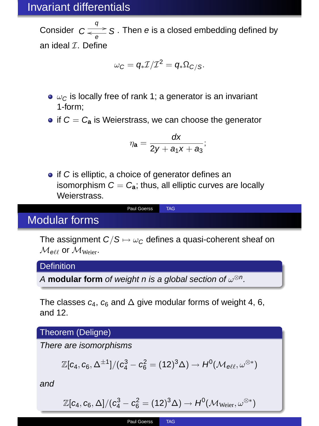## Invariant differentials

Consider  $C \frac{q}{\epsilon_{\Theta}} S$ . Then e is a closed embedding defined by an ideal  $I$ . Define

$$
\omega_C=q_*\mathcal{I}/\mathcal{I}^2=q_*\Omega_{C/S}.
$$

- $\bullet$   $\omega$ <sub>C</sub> is locally free of rank 1; a generator is an invariant 1-form;
- $\bullet$  if  $C = C_{\bullet}$  is Weierstrass, we can choose the generator

$$
\eta_{\mathbf{a}}=\frac{dx}{2y+a_1x+a_3};
$$

 $\bullet$  if C is elliptic, a choice of generator defines an isomorphism  $C = C_a$ ; thus, all elliptic curves are locally Weierstrass.

Paul Goerss TAG

## Modular forms

The assignment  $C/S \mapsto \omega_C$  defines a quasi-coherent sheaf on  $M_{\text{eff}}$  or  $M_{\text{Weier}}$ .

**Definition** 

A **modular form** of weight n is a global section of  $\omega^{\otimes n}$ .

The classes  $c_4$ ,  $c_6$  and  $\Delta$  give modular forms of weight 4, 6, and 12.

Theorem (Deligne)

There are isomorphisms

$$
\mathbb{Z}[c_4,c_6,\Delta^{\pm1}]/(c_4^3-c_6^2=(12)^3\Delta)\rightarrow H^0(\mathcal{M}_{e\ell\ell},\omega^{\otimes*})
$$

and

$$
\mathbb{Z}[c_4,c_6,\Delta]/(c_4^3-c_6^2=(12)^3\Delta)\rightarrow H^0(\mathcal{M}_{Weier},\omega^{\otimes *})
$$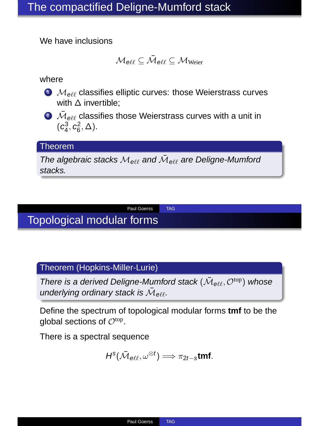We have inclusions

$$
\mathcal{M}_{\text{ell}} \subseteq \bar{\mathcal{M}}_{\text{ell}} \subseteq \mathcal{M}_{\text{Weier}}
$$

where

- $\bullet$   $M_{\text{eff}}$  classifies elliptic curves: those Weierstrass curves with  $\Delta$  invertible:
- $\bar{\mathcal{M}}_{\theta\ell\ell}$  classifies those Weierstrass curves with a unit in  $(c_4^3, c_6^2, \Delta).$

#### Theorem

The algebraic stacks  $\mathcal{M}_{\theta\ell\ell}$  and  $\bar{\mathcal{M}}_{\theta\ell\ell}$  are Deligne-Mumford stacks.

Paul Goerss TAG

# Topological modular forms

Theorem (Hopkins-Miller-Lurie)

There is a derived Deligne-Mumford stack  $(\bar{\cal M}_{\theta\ell\ell}, {\cal O}^{\rm top})$  whose underlying ordinary stack is  $\bar{\mathcal{M}}_{\theta \ell \ell}$ .

Define the spectrum of topological modular forms **tmf** to be the global sections of  $\mathcal{O}^{\text{top}}$ .

There is a spectral sequence

$$
H^s(\bar{\mathcal{M}}_{\text{eff}},\omega^{\otimes t})\Longrightarrow \pi_{2t-s}\text{tmf}.
$$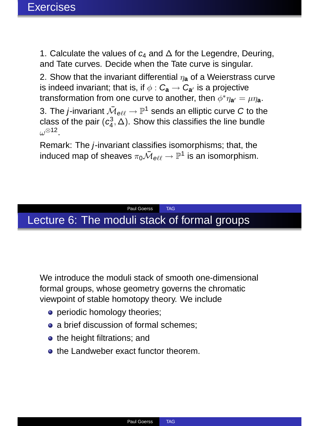1. Calculate the values of  $c_4$  and  $\Delta$  for the Legendre, Deuring, and Tate curves. Decide when the Tate curve is singular.

2. Show that the invariant differential  $\eta_a$  of a Weierstrass curve is indeed invariant; that is, if  $\phi$  :  $C_{\bf a} \rightarrow \overline{C}_{{\bf a}'}$  is a projective transformation from one curve to another, then  $\phi^* \eta_{\mathbf{a}'} = \mu \eta_{\mathbf{a}}$ .

3. The *j*-invariant  $\bar{\mathcal{M}}_{\theta\ell\ell}\to \mathbb{P}^1$  sends an elliptic curve C to the class of the pair  $(c_4^3, \tilde{\Delta})$ . Show this classifies the line bundle  $\omega^{\otimes 12}$ .

Remark: The <sup>j</sup>-invariant classifies isomorphisms; that, the induced map of sheaves  $\pi_0 \overline{\mathcal{M}}_{\theta \ell \ell} \to \mathbb{P}^1$  is an isomorphism.

## Paul Goerss TAG Lecture 6: The moduli stack of formal groups

We introduce the moduli stack of smooth one-dimensional formal groups, whose geometry governs the chromatic viewpoint of stable homotopy theory. We include

- **•** periodic homology theories:
- a brief discussion of formal schemes;
- **•** the height filtrations; and
- **o** the Landweber exact functor theorem.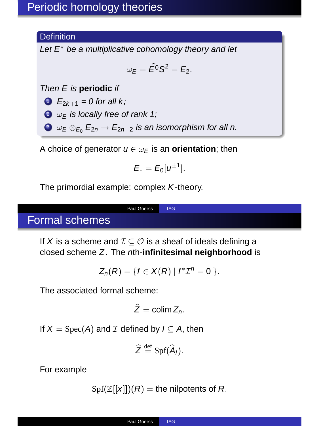## **Definition**

Let  $E^*$  be a multiplicative cohomology theory and let

$$
\omega_E=\tilde{E^0}S^2=E_2.
$$

Then E is **periodic** if

•  $E_{2k+1} = 0$  for all k;

 $\bullet$   $\omega$ <sub>F</sub> is locally free of rank 1;

 $\bullet \omega_E \otimes_{E_0} E_{2n} \rightarrow E_{2n+2}$  is an isomorphism for all n.

A choice of generator  $u \in \omega_F$  is an **orientation**; then

$$
E_* = E_0[u^{\pm 1}].
$$

The primordial example: complex <sup>K</sup>-theory.

# Formal schemes

If X is a scheme and  $\mathcal{I} \subseteq \mathcal{O}$  is a sheaf of ideals defining a closed scheme <sup>Z</sup>. The <sup>n</sup>th-**infinitesimal neighborhood** is

Paul Goerss TAG

$$
Z_n(R)=\{f\in X(R)\mid f^*{\mathcal{I}}^n=0\,\}.
$$

The associated formal scheme:

$$
\widehat{Z}=\operatorname{colim} Z_n.
$$

If  $X = \text{Spec}(A)$  and  $\mathcal I$  defined by  $I \subseteq A$ , then

$$
\widehat{Z} \stackrel{\text{def}}{=} \operatorname{Spf}(\widehat{A}_I).
$$

For example

 $Spf(\mathbb{Z}[[x]])(R)$  = the nilpotents of R.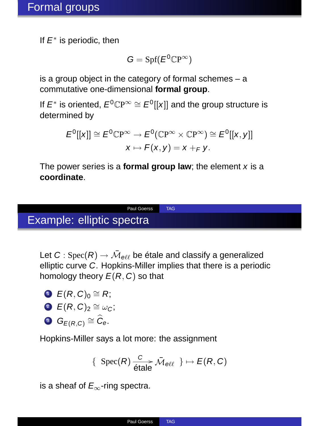If  $E^*$  is periodic, then

$$
G=\mathrm{Spf}(E^0\mathbb{C}P^\infty)
$$

is a group object in the category of formal schemes – a commutative one-dimensional **formal group**.

If  $E^*$  is oriented,  $E^0\mathbb{C}P^\infty\cong E^0[[x]]$  and the group structure is determined by

$$
E^0[[x]] \cong E^0\mathbb{C}P^\infty \to E^0(\mathbb{C}P^\infty \times \mathbb{C}P^\infty) \cong E^0[[x,y]]
$$
  

$$
x \mapsto F(x,y) = x +_F y.
$$

The power series is a **formal group law**; the element  $x$  is a **coordinate**.

Paul Goerss TAG

## Example: elliptic spectra

Let  $C$  :  $\operatorname{Spec}(R) \to \bar{\mathcal{M}}_{\theta \ell \ell}$  be étale and classify a generalized elliptic curve <sup>C</sup>. Hopkins-Miller implies that there is a periodic homology theory  $E(R, C)$  so that

\n- $$
E(R, C)_0 \cong R
$$
;
\n- $E(R, C)_2 \cong \omega_C$ ;
\n

$$
\bullet \ \ G_{E(R,C)} \cong \widehat{C}_e.
$$

Hopkins-Miller says a lot more: the assignment

$$
\{ \operatorname{Spec}(R) \xrightarrow[\text{\'etale}]{C} \bar{\mathcal{M}}_{\text{\'et}} \} \mapsto E(R, C)
$$

is a sheaf of  $E_{\infty}$ -ring spectra.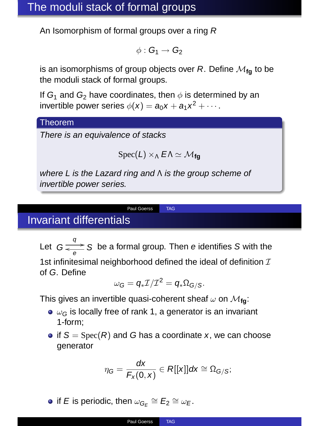An Isomorphism of formal groups over a ring <sup>R</sup>

$$
\phi:G_1\to G_2
$$

is an isomorphisms of group objects over  $R$ . Define  $M_{\text{fa}}$  to be the moduli stack of formal groups.

If  $G_1$  and  $G_2$  have coordinates, then  $\phi$  is determined by an invertible power series  $\phi(x) = a_0x + a_1x^2 + \cdots$ .

#### Theorem

There is an equivalence of stacks

$$
\operatorname{Spec}(L) \times_{\Lambda} E \Lambda \simeq \mathcal{M}_{fg}
$$

where L is the Lazard ring and Λ is the group scheme of invertible power series.

#### Paul Goerss TAG

## Invariant differentials

Let  $G \frac{q}{\epsilon}$  S be a formal group. Then e identifies S with the

1st infinitesimal neighborhood defined the ideal of definition  $I$ of <sup>G</sup>. Define

$$
\omega_G=q_*\mathcal{I}/\mathcal{I}^2=q_*\Omega_{G/S}.
$$

This gives an invertible quasi-coherent sheaf  $\omega$  on  $\mathcal{M}_{\text{fa}}$ :

- $\bullet$   $\omega_G$  is locally free of rank 1, a generator is an invariant 1-form;
- if  $S = \text{Spec}(R)$  and G has a coordinate x, we can choose generator

$$
\eta_G = \frac{dx}{F_x(0,x)} \in R[[x]]dx \cong \Omega_{G/S};
$$

if E is periodic, then  $\omega_{G_E} \cong E_2 \cong \omega_E$ .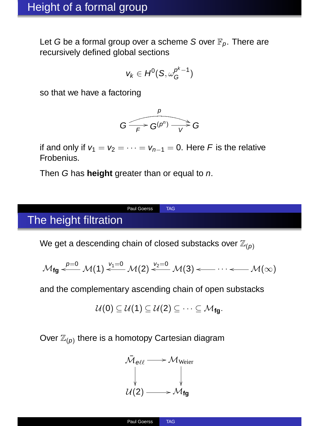Let G be a formal group over a scheme S over  $\mathbb{F}_p$ . There are recursively defined global sections

$$
v_k\in H^0(S,\omega_G^{p^k-1})
$$

so that we have a factoring



if and only if  $v_1 = v_2 = \cdots = v_{n-1} = 0$ . Here F is the relative Frobenius.

Then <sup>G</sup> has **height** greater than or equal to <sup>n</sup>.

# The height filtration

We get a descending chain of closed substacks over  $\mathbb{Z}_{(p)}$ 

Paul Goerss TAG

$$
\mathcal{M}_{fg} \stackrel{p=0}{\longleftarrow} \mathcal{M}(1) \stackrel{v_1=0}{\longleftarrow} \mathcal{M}(2) \stackrel{v_2=0}{\longleftarrow} \mathcal{M}(3) \longleftarrow \cdots \longleftarrow \mathcal{M}(\infty)
$$

and the complementary ascending chain of open substacks

$$
\mathcal{U}(0) \subseteq \mathcal{U}(1) \subseteq \mathcal{U}(2) \subseteq \cdots \subseteq \mathcal{M}_{fg}.
$$

Over  $\mathbb{Z}_{(p)}$  there is a homotopy Cartesian diagram

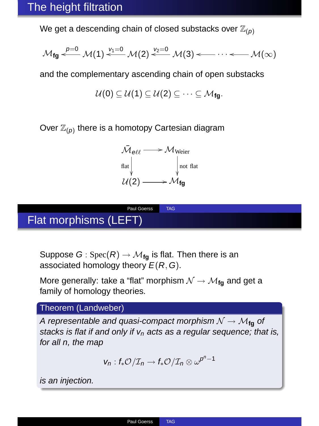We get a descending chain of closed substacks over  $\mathbb{Z}_{(p)}$ 

$$
\mathcal{M}_{fg} \xleftarrow{p=0} \mathcal{M}(1) \xleftarrow{\nu_1=0} \mathcal{M}(2) \xleftarrow{\nu_2=0} \mathcal{M}(3) \xleftarrow{\cdots} \xleftarrow{\cdots} \mathcal{M}(\infty)
$$

and the complementary ascending chain of open substacks

$$
\mathcal{U}(0) \subseteq \mathcal{U}(1) \subseteq \mathcal{U}(2) \subseteq \cdots \subseteq \mathcal{M}_{fg}.
$$

Over  $\mathbb{Z}_{(p)}$  there is a homotopy Cartesian diagram

$$
\begin{array}{c}\n\bar{\mathcal{M}}_{\text{O\&}} \longrightarrow \mathcal{M}_{\text{Weier}} \\
\uparrow \text{flat} \\
\downarrow \qquad \qquad \downarrow \text{not flat} \\
\mathcal{U}(2) \longrightarrow \mathcal{M}_{\text{fg}}\n\end{array}
$$

# Flat morphisms (LEFT)

Suppose  $G: Spec(R) \to \mathcal{M}_{fa}$  is flat. Then there is an associated homology theory  $E(R, G)$ .

More generally: take a "flat" morphism  $\mathcal{N} \rightarrow \mathcal{M}_{\mathbf{f} \mathbf{a}}$  and get a family of homology theories.

Paul Goerss TAG

#### Theorem (Landweber)

A representable and quasi-compact morphism  $N \rightarrow M_{\text{fn}}$  of stacks is flat if and only if  $v_n$  acts as a regular sequence; that is, for all n, the map

$$
v_n: f_*\mathcal{O}/\mathcal{I}_n \to f_*\mathcal{O}/\mathcal{I}_n \otimes \omega^{p^n-1}
$$

is an injection.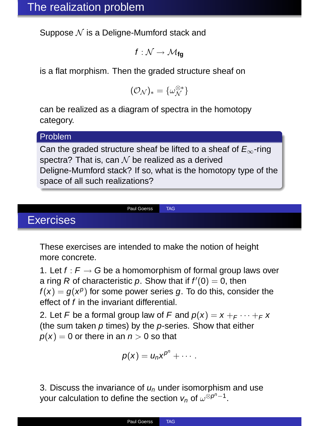Suppose  $N$  is a Deligne-Mumford stack and

 $f: \mathcal{N} \rightarrow \mathcal{M}_{\mathbf{fn}}$ 

is a flat morphism. Then the graded structure sheaf on

$$
(\mathcal{O}_{\mathcal{N}})_*=\{\omega_{\mathcal{N}}^{\otimes *}\}
$$

can be realized as a diagram of spectra in the homotopy category.

#### Problem

Can the graded structure sheaf be lifted to a sheaf of  $E_{\infty}$ -ring spectra? That is, can  $\mathcal N$  be realized as a derived Deligne-Mumford stack? If so, what is the homotopy type of the space of all such realizations?

# Exercises

These exercises are intended to make the notion of height more concrete.

Paul Goerss TAG

1. Let  $f : F \to G$  be a homomorphism of formal group laws over a ring R of characteristic p. Show that if  $f'(0) = 0$ , then  $f(x) = g(x^p)$  for some power series g. To do this, consider the effect of <sup>f</sup> in the invariant differential.

2. Let F be a formal group law of F and  $p(x) = x + F \cdots + F x$ (the sum taken  $p$  times) by the  $p$ -series. Show that either  $p(x) = 0$  or there in an  $n > 0$  so that

$$
p(x) = u_n x^{p^n} + \cdots
$$

3. Discuss the invariance of  $u<sub>n</sub>$  under isomorphism and use your calculation to define the section  $v_n$  of  $\omega^{\otimes p^n-1}$ .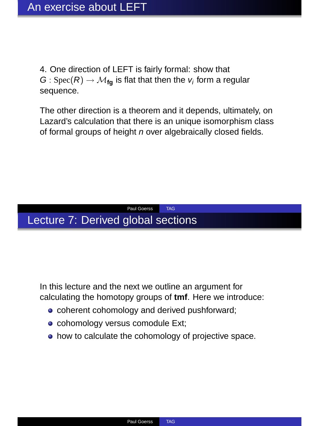4. One direction of LEFT is fairly formal: show that  $G: Spec(R) \rightarrow \mathcal{M}_{\text{fa}}$  is flat that then the  $v_i$  form a regular sequence.

The other direction is a theorem and it depends, ultimately, on Lazard's calculation that there is an unique isomorphism class of formal groups of height n over algebraically closed fields.

## Paul Goerss TAG Lecture 7: Derived global sections

In this lecture and the next we outline an argument for calculating the homotopy groups of **tmf**. Here we introduce:

- **c** coherent cohomology and derived pushforward;
- cohomology versus comodule Ext;
- how to calculate the cohomology of projective space.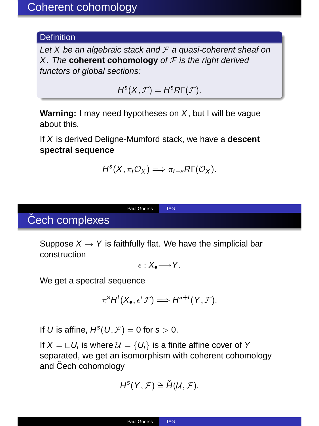## **Definition**

Let X be an algebraic stack and  $F$  a quasi-coherent sheaf on X. The **coherent cohomology** of  $F$  is the right derived functors of global sections:

 $H^{s}(X,\mathcal{F})=H^{s}R\Gamma(\mathcal{F}).$ 

**Warning:** I may need hypotheses on <sup>X</sup>, but I will be vague about this.

If <sup>X</sup> is derived Deligne-Mumford stack, we have a **descent spectral sequence**

$$
H^{s}(X, \pi_{t}\mathcal{O}_{X}) \Longrightarrow \pi_{t-s}R\Gamma(\mathcal{O}_{X}).
$$

# Čech complexes

Suppose  $X \rightarrow Y$  is faithfully flat. We have the simplicial bar construction

Paul Goerss TAG

$$
\epsilon : X_\bullet {\longrightarrow} Y.
$$

We get a spectral sequence

$$
\pi^s H^t(X_{\bullet}, \epsilon^* \mathcal{F}) \Longrightarrow H^{s+t}(Y, \mathcal{F}).
$$

If U is affine,  $H^{s}(U,\mathcal{F})=0$  for  $s>0$ .

If  $X = \Box U_i$  is where  $\mathcal{U} = \{U_i\}$  is a finite affine cover of Y separated, we get an isomorphism with coherent cohomology and Čech cohomology

$$
H^s(Y,{\mathcal F})\cong \check{H}({\mathcal U},{\mathcal F}).
$$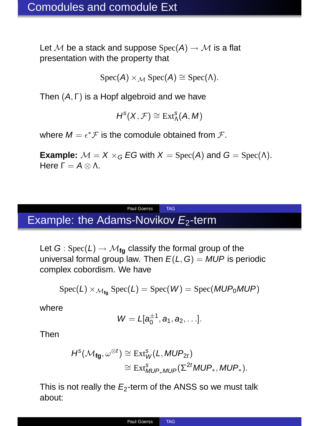Let M be a stack and suppose  $Spec(A) \rightarrow M$  is a flat presentation with the property that

$$
Spec(A) \times_{\mathcal{M}} Spec(A) \cong Spec(\Lambda).
$$

Then (A, Γ) is a Hopf algebroid and we have

$$
H^s(X, \mathcal{F}) \cong \operatorname{Ext}^s_\Lambda(A, M)
$$

where  $M = \epsilon^* \mathcal{F}$  is the comodule obtained from  $\mathcal{F}$ .

**Example:**  $M = X \times_G EG$  with  $X = Spec(A)$  and  $G = Spec(A)$ . Here  $Γ = A \otimes Λ$ .

## Paul Goerss TAG Example: the Adams-Novikov  $E_2$ -term

Let  $G: Spec(L) \rightarrow \mathcal{M}_{fa}$  classify the formal group of the universal formal group law. Then  $E(L, G) = MUP$  is periodic complex cobordism. We have

$$
Spec(L) \times_{\mathcal{M}_{fg}} Spec(L) = Spec(W) = Spec(MUP_0MUP)
$$

where

$$
W=L[a_0^{\pm 1},a_1,a_2,\ldots].
$$

Then

$$
\begin{aligned} H^s(\mathcal{M}_{\text{fg}}, \omega^{\otimes t}) &\cong \operatorname{Ext}^s_{\text{W}}(L, \text{MUP}_{2t}) \\ &\cong \operatorname{Ext}^s_{\text{MUP}* \text{MUP}}(\Sigma^{2t}\text{MUP}_*, \text{MUP}_*). \end{aligned}
$$

This is not really the  $E_2$ -term of the ANSS so we must talk about: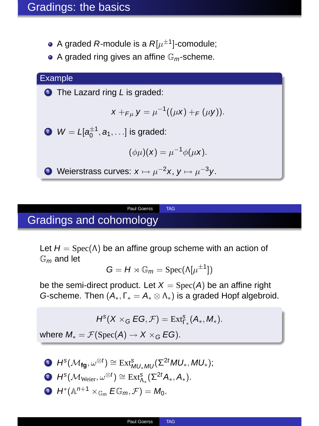- A graded  $R$ -module is a  $R[\mu^{\pm 1}]$ -comodule;
- $\bullet$  A graded ring gives an affine  $\mathbb{G}_m$ -scheme.



# Gradings and cohomology

Let  $H = \text{Spec}(\Lambda)$  be an affine group scheme with an action of  $\mathbb{G}_m$  and let

Paul Goerss TAG

$$
G = H \rtimes \mathbb{G}_m = \mathrm{Spec}(\Lambda[\mu^{\pm 1}])
$$

be the semi-direct product. Let  $X = \text{Spec}(A)$  be an affine right G-scheme. Then  $(A_*, \Gamma_* = A_* \otimes \Lambda_*)$  is a graded Hopf algebroid.

 $H^{s}(X\times_{G}EG,\mathcal{F})=\mathrm{Ext}^{s}_{\Gamma_{*}}(A_{*},M_{*}).$ 

where  $M_* = \mathcal{F}(\text{Spec}(A) \to X \times_G EG)$ .

**1**  $H^s(\mathcal{M}_{fg}, \omega^{\otimes t}) \cong Ext^s_{MU_*MU}(\Sigma^{2t} MU_*, MU_*);$ **2**  $H^s(\mathcal{M}_{\text{Weier}}, \omega^{\otimes t}) \cong \text{Ext}^s_{\Lambda_*}(\Sigma^{2t}A_*, A_*).$ **3**  $H^*(\mathbb{A}^{n+1} \times_{\mathbb{G}_m} E\mathbb{G}_m, \mathcal{F}) = M_0.$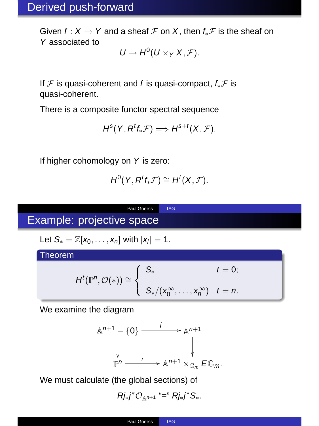Given  $f: X \to Y$  and a sheaf  $\mathcal F$  on X, then  $f_*\mathcal F$  is the sheaf on <sup>Y</sup> associated to

 $U \mapsto H^0(U \times_Y X, \mathcal{F}).$ 

If  $\mathcal F$  is quasi-coherent and f is quasi-compact,  $f_*\mathcal F$  is quasi-coherent.

There is a composite functor spectral sequence

$$
H^s(Y, R^t f_* \mathcal{F}) \Longrightarrow H^{s+t}(X, \mathcal{F}).
$$

If higher cohomology on <sup>Y</sup> is zero:

$$
H^0(Y, R^t f_* \mathcal{F}) \cong H^t(X, \mathcal{F}).
$$

Paul Goerss TAG

# Example: projective space

Let  $S_* = \mathbb{Z}[x_0, \ldots, x_n]$  with  $|x_i| = 1$ .

Theorem

$$
H^t(\mathbb{P}^n, \mathcal{O}(*) ) \cong \left\{ \begin{array}{ll} S_* & t = 0; \\ & \\ S_*/(x_0^{\infty}, \ldots, x_n^{\infty}) & t = n. \end{array} \right.
$$

We examine the diagram

$$
\mathbb{A}^{n+1} - \{0\} \xrightarrow{j} \mathbb{A}^{n+1}
$$
\n
$$
\downarrow \qquad \qquad \downarrow
$$
\n
$$
\mathbb{P}^n \xrightarrow{j} \mathbb{A}^{n+1} \times \mathbb{G}_m E \mathbb{G}_m.
$$

We must calculate (the global sections) of

$$
Rj_*j^* \mathcal{O}_{\mathbb{A}^{n+1}} \stackrel{\scriptscriptstyle\alpha}{=}^{\!n} Rj_*j^* S_*.
$$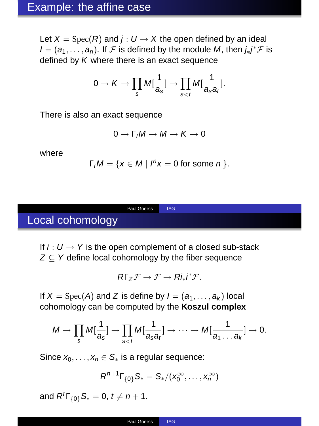Let  $X = \text{Spec}(R)$  and  $j: U \rightarrow X$  the open defined by an ideal  $I = (a_1, \ldots, a_n)$ . If  $\mathcal F$  is defined by the module M, then  $j_*j^*\mathcal F$  is defined by  $K$  where there is an exact sequence

$$
0 \to K \to \prod_s M[\frac{1}{a_s}] \to \prod_{s < t} M[\frac{1}{a_s a_t}].
$$

There is also an exact sequence

$$
0\to \Gamma_I M\to M\to K\to 0
$$

where

$$
\Gamma_1M=\{x\in M\mid I^nx=0 \text{ for some } n\}.
$$

Local cohomology

If  $i: U \rightarrow Y$  is the open complement of a closed sub-stack  $Z \subseteq Y$  define local cohomology by the fiber sequence

Paul Goerss TAG

$$
R\Gamma_Z\mathcal{F}\to\mathcal{F}\to Ri_*i^*\mathcal{F}.
$$

If  $X = \text{Spec}(A)$  and Z is define by  $I = (a_1, \ldots, a_k)$  local cohomology can be computed by the **Koszul complex**

$$
M \to \prod_s M[\frac{1}{a_s}] \to \prod_{s
$$

Since  $x_0, \ldots, x_n \in S_*$  is a regular sequence:

$$
R^{n+1}\Gamma_{\{0\}}S_*=S_*/(x_0^\infty,\ldots,x_n^\infty)
$$

and  $R^t\Gamma_{\{0\}}S_* = 0, t \neq n + 1.$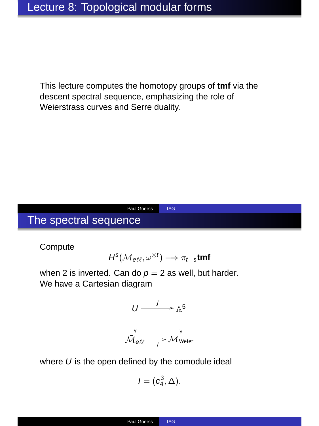This lecture computes the homotopy groups of **tmf** via the descent spectral sequence, emphasizing the role of Weierstrass curves and Serre duality.

# The spectral sequence

**Compute** 

$$
H^s(\bar{\mathcal{M}}_{\text{ell}}, \omega^{\otimes t}) \Longrightarrow \pi_{t-s} \text{tmf}
$$

Paul Goerss TAG

when 2 is inverted. Can do  $p = 2$  as well, but harder. We have a Cartesian diagram



where  $U$  is the open defined by the comodule ideal

$$
\mathit{I}=(c_4^3,\Delta).
$$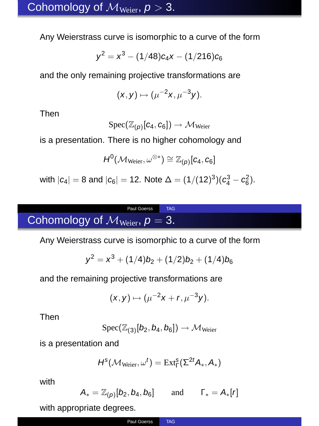Any Weierstrass curve is isomorphic to a curve of the form

$$
y^2 = x^3 - (1/48) c_4 x - (1/216) c_6 \\
$$

and the only remaining projective transformations are

$$
(x,y)\mapsto \bigl(\mu^{-2}x,\mu^{-3}y\bigr).
$$

Then

$$
\mathrm{Spec}(\mathbb{Z}_{(p)}[c_4,c_6])\rightarrow \mathcal{M}_{\mathrm{Weier}}
$$

is a presentation. There is no higher cohomology and

$$
H^0(\mathcal{M}_{\mathrm{Weier}}, \omega^{\otimes *}) \cong \mathbb{Z}_{(p)}[c_4, c_6]
$$

with  $|c_4| = 8$  and  $|c_6| = 12$ . Note  $\Delta = (1/(12)^3)(c_4^3 - c_6^2)$ .

# Cohomology of  $\mathcal{M}_{\text{Weier}}$ ,  $p = 3$ .

Any Weierstrass curve is isomorphic to a curve of the form

Paul Goerss TAG

$$
y^2 = x^3 + (1/4)b_2 + (1/2)b_2 + (1/4)b_6
$$

and the remaining projective transformations are

$$
(x,y)\mapsto (\mu^{-2}x+r,\mu^{-3}y).
$$

Then

$$
\text{Spec}(\mathbb{Z}_{(3)}[b_2,b_4,b_6]) \to \mathcal{M}_{\text{Weier}}
$$

is a presentation and

$$
H^s(\mathcal{M}_{Weier},\omega^t)=\text{Ext}^s_\Gamma(\Sigma^{2t}A_*,A_*)
$$

with

$$
A_* = \mathbb{Z}_{(p)}[b_2,b_4,b_6] \qquad \text{and} \qquad \Gamma_* = A_*[r]
$$

with appropriate degrees.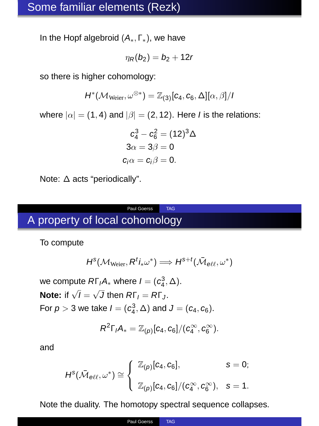In the Hopf algebroid  $(A_*, \Gamma_*)$ , we have

$$
\eta_R(b_2)=b_2+12r
$$

so there is higher cohomology:

$$
H^*(\mathcal{M}_{Weier},\omega^{\otimes *})=\mathbb{Z}_{(3)}[c_4,c_6,\Delta][\alpha,\beta]/\textit{I}
$$

where  $|\alpha| = (1, 4)$  and  $|\beta| = (2, 12)$ . Here *I* is the relations:

$$
c_4^3 - c_6^2 = (12)^3 \Delta
$$
  
\n
$$
3\alpha = 3\beta = 0
$$
  
\n
$$
c_i \alpha = c_i \beta = 0.
$$

Note: <sup>∆</sup> acts "periodically".

## Paul Goerss TAG A property of local cohomology

To compute

$$
H^s(\mathcal{M}_{\mathrm{Weier}}, R^t i_* \omega^*) \Longrightarrow H^{s+t}(\bar{\mathcal{M}}_{e\ell\ell}, \omega^*)
$$

we compute  $R\Gamma_{I}A_{*}$  where  $I=(c_4^3,\Delta).$ **Note:** if  $\sqrt{I} = \sqrt{J}$  then  $R\Gamma_I = R\Gamma_J$ . For  $p > 3$  we take  $I = (c_4^3, \Delta)$  and  $J = (c_4, c_6)$ .

$$
R^2\Gamma_I A_* = \mathbb{Z}_{(p)}[c_4, c_6]/(c_4^\infty, c_6^\infty).
$$

and

$$
H^s(\bar{\mathcal{M}}_{\theta\ell\ell},\omega^*)\cong \left\{\begin{array}{ll} \mathbb{Z}_{(p)}[c_4,c_6], & s=0; \\ \\ \mathbb{Z}_{(p)}[c_4,c_6]/(c_4^\infty,c_6^\infty), & s=1. \end{array}\right.
$$

Note the duality. The homotopy spectral sequence collapses.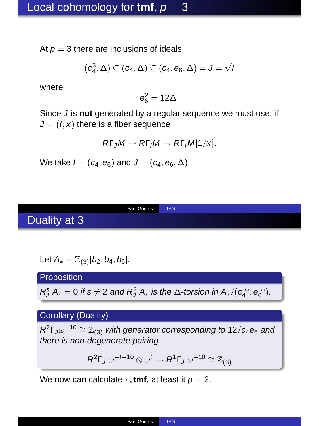At  $p = 3$  there are inclusions of ideals

$$
(c_4^3,\Delta)\subseteq (c_4,\Delta)\subseteq (c_4,e_6,\Delta)=J=\sqrt{J}
$$

where

$$
e_6^2=12\Delta.\\
$$

Since <sup>J</sup> is **not** generated by a regular sequence we must use: if  $J = (I, x)$  there is a fiber sequence

$$
R\Gamma_J M \to R\Gamma_J M \to R\Gamma_J M[1/x].
$$

We take  $I = (c_4, e_6)$  and  $J = (c_4, e_6, \Delta)$ .

Duality at 3

Paul Goerss TAG

Let 
$$
A_* = \mathbb{Z}_{(3)}[b_2, b_4, b_6]
$$
.

**Proposition** 

 $R_J^s A_* = 0$  if  $s \neq 2$  and  $R_J^2 A_*$  is the  $\Delta$ -torsion in  $A_*/(c_4^\infty, e_6^\infty)$ .

## Corollary (Duality)

 $R^2\Gamma_J\omega^{-10}\cong \mathbb{Z}_{(3)}$  with generator corresponding to 12/ $c_4e_6$  and there is non-degenerate pairing

$$
R^2\Gamma_J \omega^{-t-10} \otimes \omega^t \to R^1\Gamma_J \omega^{-10} \cong \mathbb{Z}_{(3)}
$$

We now can calculate  $\pi_*$ **tmf**, at least it  $p = 2$ .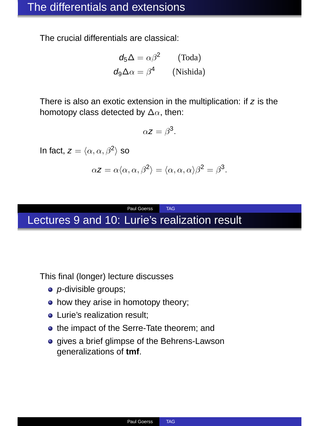The crucial differentials are classical:

$$
d_5\Delta = \alpha\beta^2
$$
 (Toda)  

$$
d_9\Delta\alpha = \beta^4
$$
 (Nishida)

There is also an exotic extension in the multiplication: if  $z$  is the homotopy class detected by  $\Delta\alpha$ , then:

$$
\alpha z = \beta^3.
$$

In fact,  $z = \langle \alpha, \alpha, \beta^2 \rangle$  so

$$
\alpha \mathbf{z} = \alpha \langle \alpha, \alpha, \beta^2 \rangle = \langle \alpha, \alpha, \alpha \rangle \beta^2 = \beta^3.
$$

## Paul Goerss TAG Lectures 9 and 10: Lurie's realization result

This final (longer) lecture discusses

- *p*-divisible groups;
- how they arise in homotopy theory;
- **A** Lurie's realization result;
- the impact of the Serre-Tate theorem; and
- **.** gives a brief glimpse of the Behrens-Lawson generalizations of **tmf**.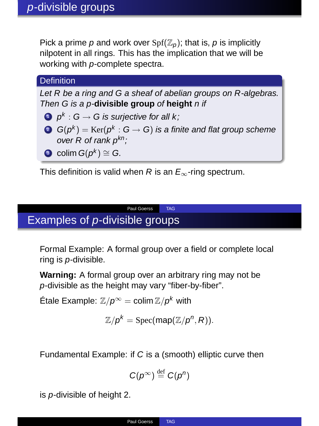Pick a prime p and work over  $Spf(\mathbb{Z}_p)$ ; that is, p is implicitly nilpotent in all rings. This has the implication that we will be working with <sup>p</sup>-complete spectra.

#### **Definition**

Let R be a ring and G a sheaf of abelian groups on R-algebras. Then G is a p-**divisible group** of **height** n if

- **1**  $p^k$  :  $G \rightarrow G$  is surjective for all k;
- $\bullet \ \mathsf{G}(p^k) = \mathrm{Ker}(p^k : \mathsf{G} \to \mathsf{G})$  is a finite and flat group scheme over  $R$  of rank  $p^{kn}$ ;
- **3** colim  $G(p^k) \cong G$ .

This definition is valid when R is an  $E_{\infty}$ -ring spectrum.

Paul Goerss TAG

# Examples of <sup>p</sup>-divisible groups

Formal Example: A formal group over a field or complete local ring is <sup>p</sup>-divisible.

**Warning:** A formal group over an arbitrary ring may not be <sup>p</sup>-divisible as the height may vary "fiber-by-fiber".

Étale Example:  $\mathbb{Z}/p^{\infty} = \mathop{\sf colim}\nolimits \mathbb{Z}/p^k$  with

$$
\mathbb{Z}/p^k = \operatorname{Spec}(\operatorname{map}(\mathbb{Z}/p^n, R)).
$$

Fundamental Example: if <sup>C</sup> is a (smooth) elliptic curve then

$$
C(p^{\infty}) \stackrel{\text{def}}{=} C(p^n)
$$

is <sup>p</sup>-divisible of height 2.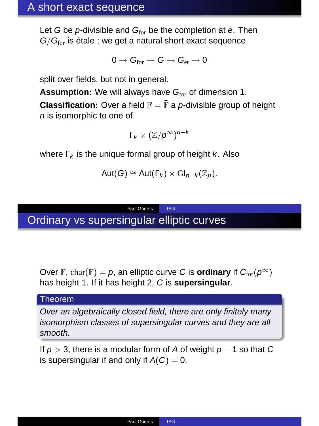Let G be  $p$ -divisible and  $G<sub>for</sub>$  be the completion at e. Then  $G/G<sub>for</sub>$  is étale ; we get a natural short exact sequence

$$
0\to G_{for}\to G\to G_{et}\to 0
$$

split over fields, but not in general.

**Assumption:** We will always have G<sub>for</sub> of dimension 1.

**Classification:** Over a field  $\mathbb{F} = \mathbb{F}$  a *p*-divisible group of height <sup>n</sup> is isomorphic to one of

$$
\Gamma_k \times (\mathbb{Z}/p^\infty)^{n-k}
$$

where  $\Gamma_k$  is the unique formal group of height k. Also

$$
Aut(G) \cong Aut(\Gamma_k) \times Gl_{n-k}(\mathbb{Z}_p).
$$

Paul Goerss TAG Ordinary vs supersingular elliptic curves

Over F, char(F) = p, an elliptic curve C is **ordinary** if  $C_{\text{for}}(p^{\infty})$ has height 1. If it has height 2, <sup>C</sup> is **supersingular**.

#### Theorem

Over an algebraically closed field, there are only finitely many isomorphism classes of supersingular curves and they are all smooth.

If  $p > 3$ , there is a modular form of A of weight  $p - 1$  so that C is supersingular if and only if  $A(C) = 0$ .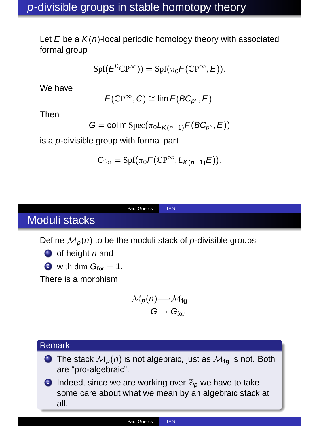Let  $E$  be a  $K(n)$ -local periodic homology theory with associated formal group

$$
\text{Spf}(E^0\mathbb{C} P^\infty))=\text{Spf}(\pi_0 \mathcal{F}(\mathbb{C} P^\infty,E)).
$$

We have

$$
\mathsf{F}(\mathbb{C}P^\infty, C) \cong \lim \mathsf{F}(BC_{p^n}, E).
$$

Then

$$
G = \text{colim Spec}(\pi_0 L_{K(n-1)} F(BC_{p^n}, E))
$$

is a <sup>p</sup>-divisible group with formal part

$$
G_{\text{for}} = \text{Spf}(\pi_0 F(\mathbb{C}P^{\infty}, L_{K(n-1)}E)).
$$

## Moduli stacks

Define  $M_p(n)$  to be the moduli stack of p-divisible groups

Paul Goerss TAG

 $\bullet$  of height n and

2 with dim  $G<sub>for</sub> = 1$ .

There is a morphism

$$
\begin{array}{c} \mathcal{M}_{\rho}(n) {\longrightarrow} \mathcal{M}_{\text{fg}} \\ G \mapsto G_{\text{for}} \end{array}
$$

## Remark

- **1** The stack  $M_p(n)$  is not algebraic, just as  $M_{fa}$  is not. Both are "pro-algebraic".
- **2** Indeed, since we are working over  $\mathbb{Z}_p$  we have to take some care about what we mean by an algebraic stack at all.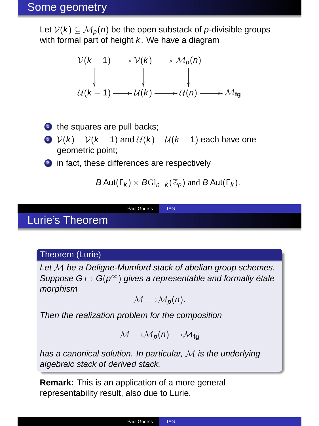## Some geometry

Let  $V(k) \subseteq M_p(n)$  be the open substack of p-divisible groups with formal part of height  $k$ . We have a diagram

$$
\begin{array}{ccc}\n\mathcal{V}(k-1) & \longrightarrow & \mathcal{V}(k) \longrightarrow & \mathcal{M}_p(n) \\
\downarrow & \downarrow & \downarrow & \downarrow \\
\mathcal{U}(k-1) & \longrightarrow & \mathcal{U}(k) \longrightarrow & \mathcal{M}(n) \longrightarrow & \mathcal{M}_{fg}\n\end{array}
$$

- $\bullet$  the squares are pull backs;
- 2  $V(k) V(k-1)$  and  $U(k) U(k-1)$  each have one geometric point;

Paul Goerss TAG

**3** in fact, these differences are respectively

$$
B \operatorname{Aut}(\Gamma_k) \times B \operatorname{Gl}_{n-k}(\mathbb{Z}_p) \text{ and } B \operatorname{Aut}(\Gamma_k).
$$

# Lurie's Theorem

#### Theorem (Lurie)

Let M be a Deligne-Mumford stack of abelian group schemes. Suppose  $G \mapsto G(p^{\infty})$  gives a representable and formally étale morphism

$$
\mathcal{M}\longrightarrow \mathcal{M}_p(n).
$$

Then the realization problem for the composition

$$
\mathcal{M} \longrightarrow \mathcal{M}_p(n) \longrightarrow \mathcal{M}_{fg}
$$

has a canonical solution. In particular,  $M$  is the underlying algebraic stack of derived stack.

**Remark:** This is an application of a more general representability result, also due to Lurie.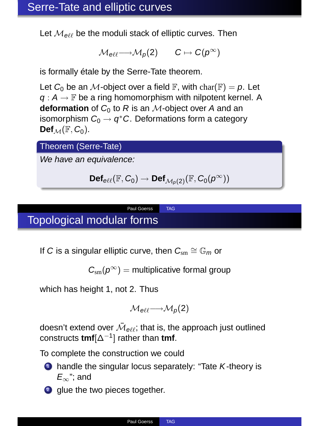Let  $\mathcal{M}_{\text{eff}}$  be the moduli stack of elliptic curves. Then

$$
\mathcal{M}_{\text{eff}} {\longrightarrow} \mathcal{M}_p(2) \qquad C \mapsto C(p^\infty)
$$

is formally étale by the Serre-Tate theorem.

Let  $C_0$  be an M-object over a field  $\mathbb{F}$ , with char( $\mathbb{F}$ ) = p. Let  $q: A \rightarrow \mathbb{F}$  be a ring homomorphism with nilpotent kernel. A **deformation** of  $C_0$  to R is an M-object over A and an isomorphism  $C_0 \stackrel{\circ}{\rightarrow} q^*C$ . Deformations form a category  $\text{Def}_{M}(\mathbb{F}, C_0)$ .

Theorem (Serre-Tate)

We have an equivalence:

$$
\text{Def}_{e\ell\ell}(\mathbb{F},C_0)\to \text{Def}_{\mathcal{M}_\rho(2)}(\mathbb{F},C_0(\rho^\infty))
$$

Paul Goerss TAG

# Topological modular forms

If C is a singular elliptic curve, then  $C_{\rm sm} \cong \mathbb{G}_m$  or

 $C_{\rm cm}(p^{\infty})$  = multiplicative formal group

which has height 1, not 2. Thus

$$
\mathcal{M}_{\text{eff}} \longrightarrow \mathcal{M}_p(2)
$$

doesn't extend over  $\bar{\mathcal{M}}_{\theta\ell\ell}$ ; that is, the approach just outlined constructs **tmf**[∆−<sup>1</sup> ] rather than **tmf**.

To complete the construction we could



- $\bullet$  handle the singular locus separately: "Tate K-theory is  $E_{\infty}$ "; and
- 2 glue the two pieces together.